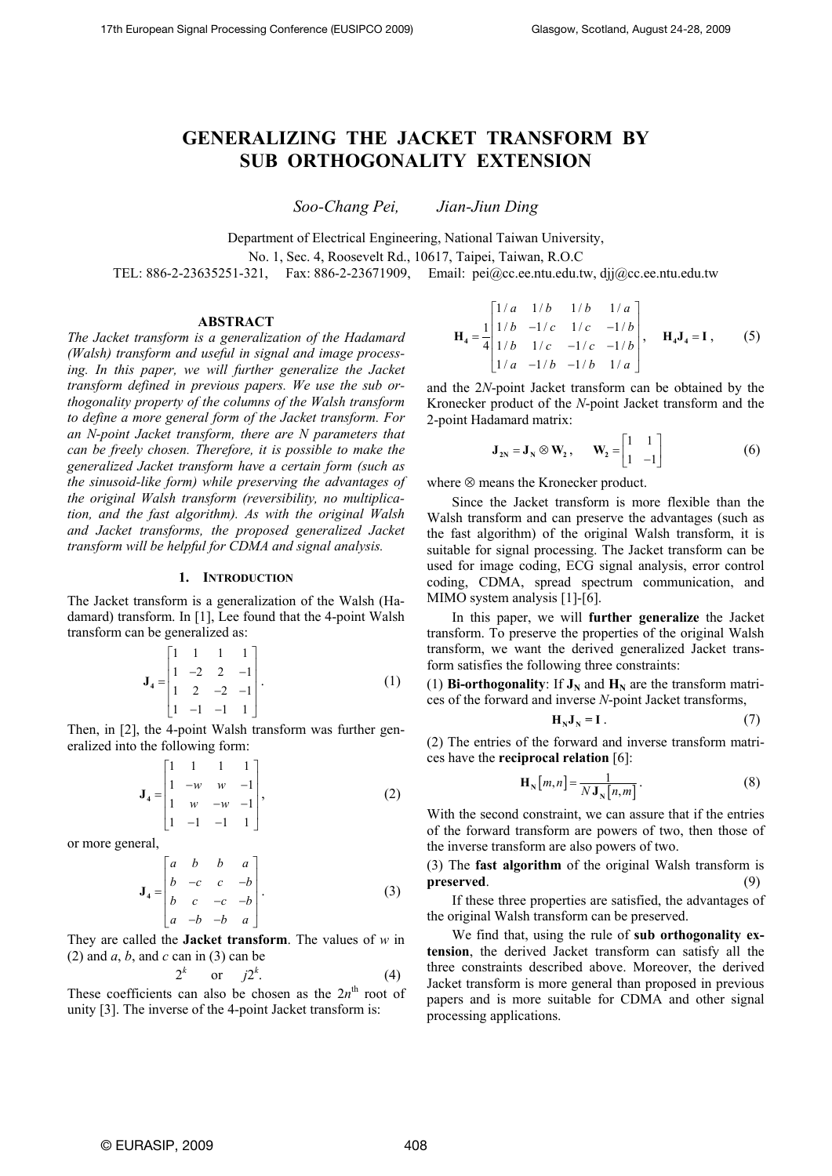# **GENERALIZING THE JACKET TRANSFORM BY SUB ORTHOGONALITY EXTENSION**

*Soo-Chang Pei, Jian-Jiun Ding* 

Department of Electrical Engineering, National Taiwan University,

No. 1, Sec. 4, Roosevelt Rd., 10617, Taipei, Taiwan, R.O.C

TEL: 886-2-23635251-321, Fax: 886-2-23671909, Email: pei@cc.ee.ntu.edu.tw, djj@cc.ee.ntu.edu.tw

## **ABSTRACT**

*The Jacket transform is a generalization of the Hadamard (Walsh) transform and useful in signal and image processing. In this paper, we will further generalize the Jacket transform defined in previous papers. We use the sub orthogonality property of the columns of the Walsh transform to define a more general form of the Jacket transform. For an N-point Jacket transform, there are N parameters that can be freely chosen. Therefore, it is possible to make the generalized Jacket transform have a certain form (such as the sinusoid-like form) while preserving the advantages of the original Walsh transform (reversibility, no multiplication, and the fast algorithm). As with the original Walsh and Jacket transforms, the proposed generalized Jacket transform will be helpful for CDMA and signal analysis.* 

## **1. INTRODUCTION**

The Jacket transform is a generalization of the Walsh (Hadamard) transform. In [1], Lee found that the 4-point Walsh transform can be generalized as:

$$
\mathbf{J}_4 = \begin{bmatrix} 1 & 1 & 1 & 1 \\ 1 & -2 & 2 & -1 \\ 1 & 2 & -2 & -1 \\ 1 & -1 & -1 & 1 \end{bmatrix} . \tag{1}
$$

Then, in [2], the 4-point Walsh transform was further generalized into the following form:

$$
\mathbf{J}_4 = \begin{bmatrix} 1 & 1 & 1 & 1 \\ 1 & -w & w & -1 \\ 1 & w & -w & -1 \\ 1 & -1 & -1 & 1 \end{bmatrix},
$$
 (2)

or more general,

2*<sup>k</sup>*

$$
\mathbf{J}_4 = \begin{bmatrix} a & b & b & a \\ b & -c & c & -b \\ b & c & -c & -b \\ a & -b & -b & a \end{bmatrix} . \tag{3}
$$

They are called the **Jacket transform**. The values of *w* in (2) and *a*, *b*, and *c* can in (3) can be

 $2^k$  or

$$
j2^k.\tag{4}
$$

These coefficients can also be chosen as the  $2n<sup>th</sup>$  root of unity [3]. The inverse of the 4-point Jacket transform is:

$$
\mathbf{H}_{4} = \frac{1}{4} \begin{bmatrix} 1/a & 1/b & 1/b & 1/a \\ 1/b & -1/c & 1/c & -1/b \\ 1/b & 1/c & -1/c & -1/b \\ 1/a & -1/b & -1/b & 1/a \end{bmatrix}, \quad \mathbf{H}_{4}\mathbf{J}_{4} = \mathbf{I}, \quad (5)
$$

and the 2*N*-point Jacket transform can be obtained by the Kronecker product of the *N*-point Jacket transform and the 2-point Hadamard matrix:

$$
\mathbf{J}_{2N} = \mathbf{J}_N \otimes \mathbf{W}_2, \qquad \mathbf{W}_2 = \begin{bmatrix} 1 & 1 \\ 1 & -1 \end{bmatrix} \tag{6}
$$

where ⊗ means the Kronecker product.

Since the Jacket transform is more flexible than the Walsh transform and can preserve the advantages (such as the fast algorithm) of the original Walsh transform, it is suitable for signal processing. The Jacket transform can be used for image coding, ECG signal analysis, error control coding, CDMA, spread spectrum communication, and MIMO system analysis [1]-[6].

In this paper, we will **further generalize** the Jacket transform. To preserve the properties of the original Walsh transform, we want the derived generalized Jacket transform satisfies the following three constraints:

(1) **Bi-orthogonality**: If  $J_N$  and  $H_N$  are the transform matrices of the forward and inverse *N*-point Jacket transforms,

$$
\mathbf{H}_{N}\mathbf{J}_{N}=\mathbf{I} \tag{7}
$$

(2) The entries of the forward and inverse transform matrices have the **reciprocal relation** [6]:

$$
\mathbf{H}_{\mathbf{N}}[m,n] = \frac{1}{N \mathbf{J}_{\mathbf{N}}[n,m]}.
$$
 (8)

With the second constraint, we can assure that if the entries of the forward transform are powers of two, then those of the inverse transform are also powers of two.

(3) The **fast algorithm** of the original Walsh transform is **preserved**. (9)

If these three properties are satisfied, the advantages of the original Walsh transform can be preserved.

We find that, using the rule of **sub orthogonality extension**, the derived Jacket transform can satisfy all the three constraints described above. Moreover, the derived Jacket transform is more general than proposed in previous papers and is more suitable for CDMA and other signal processing applications.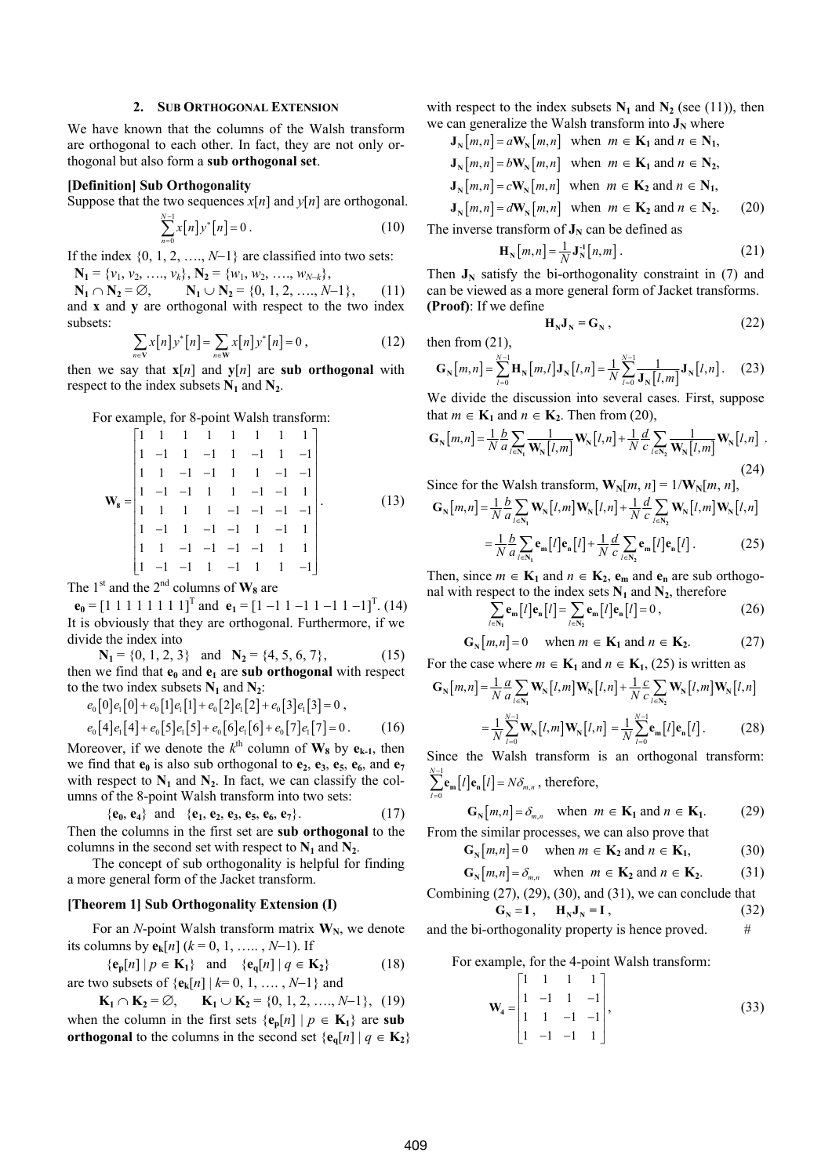#### **2. SUB ORTHOGONAL EXTENSION**

We have known that the columns of the Walsh transform are orthogonal to each other. In fact, they are not only orthogonal but also form a **sub orthogonal set**.

#### **[Definition] Sub Orthogonality**

Suppose that the two sequences  $x[n]$  and  $y[n]$  are orthogonal.

$$
\sum_{n=0}^{N-1} x[n] y^* [n] = 0.
$$
 (10)

If the index  $\{0, 1, 2, \ldots, N-1\}$  are classified into two sets:

 $N_1 = \{v_1, v_2, \ldots, v_k\}, N_2 = \{w_1, w_2, \ldots, w_{N-k}\},$ 

**N**<sub>1</sub> ∩ **N**<sub>2</sub> = ∅, **N**<sub>1</sub> ∪ **N**<sub>2</sub> = {0, 1, 2, …, *N*−1}, (11) and **x** and **y** are orthogonal with respect to the two index subsets:

$$
\sum_{n \in \mathbf{V}} x[n] y^* [n] = \sum_{n \in \mathbf{W}} x[n] y^* [n] = 0 , \qquad (12)
$$

then we say that  $\mathbf{x}[n]$  and  $\mathbf{y}[n]$  are sub orthogonal with respect to the index subsets  $N_1$  and  $N_2$ .

For example, for 8-point Walsh transform:

$$
\mathbf{W}_8 = \begin{bmatrix} 1 & 1 & 1 & 1 & 1 & 1 & 1 & 1 \\ 1 & -1 & 1 & -1 & 1 & -1 & 1 & -1 \\ 1 & 1 & -1 & -1 & 1 & 1 & -1 & -1 \\ 1 & -1 & -1 & 1 & 1 & -1 & -1 & 1 \\ 1 & 1 & 1 & 1 & -1 & -1 & -1 & -1 \\ 1 & -1 & 1 & -1 & -1 & 1 & 1 & 1 \\ 1 & -1 & -1 & -1 & 1 & -1 & 1 & 1 \end{bmatrix} .
$$
 (13)

The 1<sup>st</sup> and the 2<sup>nd</sup> columns of  $W_8$  are

**e**<sub>0</sub> =  $[1\ 1\ 1\ 1\ 1\ 1\ 1\ 1]^T$  and **e**<sub>1</sub> =  $[1\ -1\ 1\ -1\ 1\ -1\ 1]^T$ . (14) It is obviously that they are orthogonal. Furthermore, if we divide the index into

 $N_1 = \{0, 1, 2, 3\}$  and  $N_2 = \{4, 5, 6, 7\},$  (15) then we find that  $e_0$  and  $e_1$  are sub orthogonal with respect to the two index subsets  $N_1$  and  $N_2$ :

 $e_0[0]e_1[0] + e_0[1]e_1[1] + e_0[2]e_1[2] + e_0[3]e_1[3] = 0$ ,

$$
e_0[4]e_1[4] + e_0[5]e_1[5] + e_0[6]e_1[6] + e_0[7]e_1[7] = 0. \tag{16}
$$

Moreover, if we denote the  $k^{\text{th}}$  column of  $W_8$  by  $e_{k-1}$ , then we find that  $\mathbf{e}_0$  is also sub orthogonal to  $\mathbf{e}_2$ ,  $\mathbf{e}_3$ ,  $\mathbf{e}_5$ ,  $\mathbf{e}_6$ , and  $\mathbf{e}_7$ with respect to  $N_1$  and  $N_2$ . In fact, we can classify the columns of the 8-point Walsh transform into two sets:

 ${e_0, e_4}$  and  ${e_1, e_2, e_3, e_5, e_6, e_7}.$  (17) Then the columns in the first set are **sub orthogonal** to the columns in the second set with respect to  $N_1$  and  $N_2$ .

The concept of sub orthogonality is helpful for finding a more general form of the Jacket transform.

#### **[Theorem 1] Sub Orthogonality Extension (I)**

For an *N*-point Walsh transform matrix  $W_N$ , we denote its columns by  ${\bf e_k}[n]$  ( $k = 0, 1, \ldots, N-1$ ). If

$$
\{\mathbf e_p[n] \mid p \in \mathbf{K}_1\} \quad \text{and} \quad \{\mathbf e_q[n] \mid q \in \mathbf{K}_2\} \tag{18}
$$

are two subsets of  $\{e_k[n] | k=0, 1, \ldots, N-1\}$  and

**K**<sub>1</sub> ∩ **K**<sub>2</sub> = ∅, **K**<sub>1</sub> ∪ **K**<sub>2</sub> = {0, 1, 2, …, *N*−1}, (19) when the column in the first sets  $\{e_n[n] | p \in K_1\}$  are sub **orthogonal** to the columns in the second set  $\{e_{q}[n] | q \in K_2\}$  with respect to the index subsets  $N_1$  and  $N_2$  (see (11)), then we can generalize the Walsh transform into  $J_N$  where

$$
\mathbf{J}_{\mathbf{N}}[m,n] = a\mathbf{W}_{\mathbf{N}}[m,n] \text{ when } m \in \mathbf{K}_1 \text{ and } n \in \mathbf{N}_1,
$$
  

$$
\mathbf{J}_{\mathbf{N}}[m,n] = b\mathbf{W}_{\mathbf{N}}[m,n] \text{ when } m \in \mathbf{K}_1 \text{ and } n \in \mathbf{N}_2,
$$
  

$$
\mathbf{J}_{\mathbf{N}}[m,n] = c\mathbf{W}_{\mathbf{N}}[m,n] \text{ when } m \in \mathbf{K}_2 \text{ and } n \in \mathbf{N}_1,
$$

 $\mathbf{J}_{\mathbf{N}}[m,n] = d\mathbf{W}_{\mathbf{N}}[m,n]$  when  $m \in \mathbf{K}_2$  and  $n \in \mathbf{N}_2$ . (20) The inverse transform of  $J_N$  can be defined as

$$
\mathbf{H}_{\mathbf{N}}[m,n] = \frac{1}{N} \mathbf{J}_{\mathbf{N}}^{\mathbf{1}}[n,m] \,. \tag{21}
$$

Then  $J_N$  satisfy the bi-orthogonality constraint in (7) and can be viewed as a more general form of Jacket transforms. **(Proof)**: If we define

$$
\mathbf{H}_{N}\mathbf{J}_{N}=\mathbf{G}_{N}\,,\tag{22}
$$

then from (21),

$$
G_{N}[m,n] = \sum_{l=0}^{N-1} H_{N}[m,l]J_{N}[l,n] = \frac{1}{N} \sum_{l=0}^{N-1} \frac{1}{J_{N}[l,m]}J_{N}[l,n].
$$
 (23)

We divide the discussion into several cases. First, suppose that  $m \in \mathbf{K}_1$  and  $n \in \mathbf{K}_2$ . Then from (20),

$$
\mathbf{G}_{\mathbf{N}}[m,n] = \frac{1}{N} \frac{b}{a} \sum_{l \in \mathbf{N}_{\mathbf{I}}} \frac{1}{\mathbf{W}_{\mathbf{N}}[l,m]} \mathbf{W}_{\mathbf{N}}[l,n] + \frac{1}{N} \frac{d}{c} \sum_{l \in \mathbf{N}_{\mathbf{2}}} \frac{1}{\mathbf{W}_{\mathbf{N}}[l,m]} \mathbf{W}_{\mathbf{N}}[l,n] \tag{24}
$$

$$
_{-}(24)
$$

Since for the Walsh transform, 
$$
\mathbf{W}_{N}[m, n] = 1/\mathbf{W}_{N}[m, n]
$$
,  
\n
$$
\mathbf{G}_{N}[m,n] = \frac{1}{N} \frac{b}{a} \sum_{l \in N_{1}} \mathbf{W}_{N}[l,m] \mathbf{W}_{N}[l,n] + \frac{1}{N} \frac{d}{c} \sum_{l \in N_{2}} \mathbf{W}_{N}[l,m] \mathbf{W}_{N}[l,n]
$$
\n
$$
= \frac{1}{N} \frac{b}{a} \sum_{l \in N_{1}} \mathbf{e}_{m}[l] \mathbf{e}_{n}[l] + \frac{1}{N} \frac{d}{c} \sum_{l \in N_{2}} \mathbf{e}_{m}[l] \mathbf{e}_{n}[l]. \tag{25}
$$

Then, since  $m \in \mathbf{K}_1$  and  $n \in \mathbf{K}_2$ ,  $e_m$  and  $e_n$  are sub orthogonal with respect to the index sets  $N_1$  and  $N_2$ , therefore

$$
\sum_{l \in \mathbb{N}_1} \mathbf{e}_{\mathbf{m}}[l] \mathbf{e}_{\mathbf{n}}[l] = \sum_{l \in \mathbb{N}_2} \mathbf{e}_{\mathbf{m}}[l] \mathbf{e}_{\mathbf{n}}[l] = 0 ,
$$
 (26)

$$
\mathbf{G}_{\mathbf{N}}[m,n] = 0 \quad \text{when } m \in \mathbf{K}_1 \text{ and } n \in \mathbf{K}_2. \tag{27}
$$

For the case where  $m \in \mathbf{K}_1$  and  $n \in \mathbf{K}_1$ , (25) is written as

$$
\mathbf{G}_{\mathbf{N}}[m,n] = \frac{1}{N} \frac{a}{a} \sum_{l \in \mathbf{N}_{\mathbf{I}}} \mathbf{W}_{\mathbf{N}}[l,m] \mathbf{W}_{\mathbf{N}}[l,n] + \frac{1}{N} \frac{c}{c} \sum_{l \in \mathbf{N}_{\mathbf{2}}} \mathbf{W}_{\mathbf{N}}[l,m] \mathbf{W}_{\mathbf{N}}[l,n]
$$

$$
= \frac{1}{N} \sum_{l=0}^{N-1} \mathbf{W}_{\mathbf{N}}[l,m] \mathbf{W}_{\mathbf{N}}[l,n] = \frac{1}{N} \sum_{l=0}^{N-1} \mathbf{e}_{\mathbf{m}}[l] \mathbf{e}_{\mathbf{n}}[l]. \tag{28}
$$

Since the Walsh transform is an orthogonal transform:  $\sum_{n=0}^{-1}$ **e**<sub>n</sub> $[l]$ **e**<sub>n</sub> $[l]$  =  $N\delta_{m}$ *N*  $\sum_{l=0}$ **C**<sub>m</sub><sup>l</sup>  $\int$ **C**<sub>n</sub><sup>l</sup>  $\int$ **C**<sub>n</sub><sup>n</sup><sub>*m*</sub>*n*<sub>n</sub>  $\sum_{m=1}^{l-1} e_m[l] e_n[l] = N \delta_l$  $\sum_{l=0}$ **e**<sub>m</sub> $[l]$ **e**<sub>n</sub> $[l]$  =  $N\delta$ <sub>*m,n*</sub>, therefore,

$$
\mathbf{G}_{\mathbf{N}}[m,n] = \delta_{m,n} \quad \text{when } m \in \mathbf{K}_1 \text{ and } n \in \mathbf{K}_1. \tag{29}
$$

From the similar processes, we can also prove that

$$
\mathbf{G}_{\mathbf{N}}[m,n] = 0 \quad \text{when } m \in \mathbf{K}_2 \text{ and } n \in \mathbf{K}_1,
$$
\n
$$
\mathbf{G}_{\mathbf{N}}[m,n] = \delta_{\mathbf{N}} \quad \text{when } m \in \mathbf{K}_2 \text{ and } n \in \mathbf{K}_2.
$$
\n(30)

$$
\mathbf{G}_{\mathrm{N}}[m,n] = \delta_{m,n} \quad \text{when } m \in \mathbf{K}_2 \text{ and } n \in \mathbf{K}_2. \tag{31}
$$

Combining (27), (29), (30), and (31), we can conclude that  

$$
G_N = I, \qquad H_N J_N = I, \qquad (32)
$$

and the bi-orthogonality property is hence proved.  $\#$ 

For example, for the 4-point Walsh transform:

$$
\mathbf{W}_4 = \begin{bmatrix} 1 & 1 & 1 & 1 \\ 1 & -1 & 1 & -1 \\ 1 & 1 & -1 & -1 \\ 1 & -1 & -1 & 1 \end{bmatrix},
$$
(33)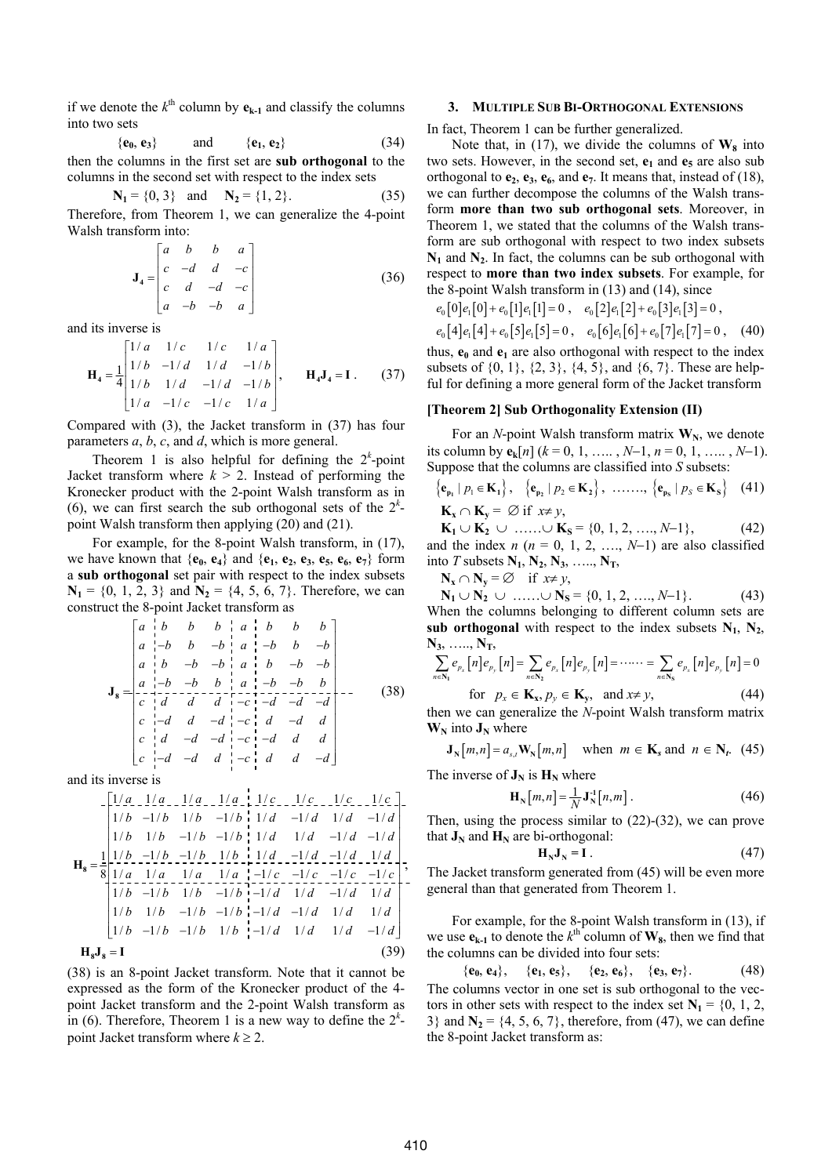if we denote the  $k^{\text{th}}$  column by  $e_{k-1}$  and classify the columns into two sets

$$
\{\mathbf{e}_0, \mathbf{e}_3\} \quad \text{and} \quad \{\mathbf{e}_1, \mathbf{e}_2\} \tag{34}
$$

then the columns in the first set are **sub orthogonal** to the columns in the second set with respect to the index sets

$$
N_1 = \{0, 3\}
$$
 and  $N_2 = \{1, 2\}.$  (35)

Therefore, from Theorem 1, we can generalize the 4-point Walsh transform into:

$$
\mathbf{J}_4 = \begin{bmatrix} a & b & b & a \\ c & -d & d & -c \\ c & d & -d & -c \\ a & -b & -b & a \end{bmatrix}
$$
 (36)

and its inverse is

$$
\mathbf{H}_{4} = \frac{1}{4} \begin{bmatrix} 1/a & 1/c & 1/c & 1/a \\ 1/b & -1/d & 1/d & -1/b \\ 1/b & 1/d & -1/d & -1/b \\ 1/a & -1/c & -1/c & 1/a \end{bmatrix}, \qquad \mathbf{H}_{4}\mathbf{J}_{4} = \mathbf{I}. \tag{37}
$$

Compared with (3), the Jacket transform in (37) has four parameters *a*, *b*, *c*, and *d*, which is more general.

Theorem 1 is also helpful for defining the  $2<sup>k</sup>$ -point Jacket transform where  $k > 2$ . Instead of performing the Kronecker product with the 2-point Walsh transform as in (6), we can first search the sub orthogonal sets of the  $2^k$ point Walsh transform then applying (20) and (21).

For example, for the 8-point Walsh transform, in (17), we have known that  $\{\mathbf{e}_0, \mathbf{e}_4\}$  and  $\{\mathbf{e}_1, \mathbf{e}_2, \mathbf{e}_3, \mathbf{e}_5, \mathbf{e}_6, \mathbf{e}_7\}$  form a **sub orthogonal** set pair with respect to the index subsets  $N_1 = \{0, 1, 2, 3\}$  and  $N_2 = \{4, 5, 6, 7\}$ . Therefore, we can construct the 8-point Jacket transform as

$$
\mathbf{J}_{8} = \begin{bmatrix} a & b & b & b & a & b & b & b \\ a & -b & b & -b & a & -b & b & -b \\ a & b & -b & -b & a & b & -b & -b \\ a & -b & -b & b & a & b & -b & -b \\ c & d & d & d & -c & -d & -d & -d \\ c & -d & d & -d & -c & d & d & d \\ c & -d & -d & -d & -c & d & d & d \\ c & -d & -d & -d & -c & d & d & d \end{bmatrix} - \tag{38}
$$

and its inverse is

$$
\mathbf{H}_{8} = \frac{1}{8} \begin{bmatrix} \frac{1}{a} & \frac{1}{a} & \frac{1}{a} & \frac{1}{a} & \frac{1}{a} & \frac{1}{a} & \frac{1}{a} & \frac{1}{a} & \frac{1}{a} & \frac{1}{a} & \frac{1}{a} & \frac{1}{a} & \frac{1}{a} & \frac{1}{a} & \frac{1}{a} & \frac{1}{a} & \frac{1}{a} & \frac{1}{a} & \frac{1}{a} & \frac{1}{a} & \frac{1}{a} & \frac{1}{a} & \frac{1}{a} & \frac{1}{a} & \frac{1}{a} & \frac{1}{a} & \frac{1}{a} & \frac{1}{a} & \frac{1}{a} & \frac{1}{a} & \frac{1}{a} & \frac{1}{a} & \frac{1}{a} & \frac{1}{a} & \frac{1}{a} & \frac{1}{a} & \frac{1}{a} & \frac{1}{a} & \frac{1}{a} & \frac{1}{a} & \frac{1}{a} & \frac{1}{a} & \frac{1}{a} & \frac{1}{a} & \frac{1}{a} & \frac{1}{a} & \frac{1}{a} & \frac{1}{a} & \frac{1}{a} & \frac{1}{a} & \frac{1}{a} & \frac{1}{a} & \frac{1}{a} & \frac{1}{a} & \frac{1}{a} & \frac{1}{a} & \frac{1}{a} & \frac{1}{a} & \frac{1}{a} & \frac{1}{a} & \frac{1}{a} & \frac{1}{a} & \frac{1}{a} & \frac{1}{a} & \frac{1}{a} & \frac{1}{a} & \frac{1}{a} & \frac{1}{a} & \frac{1}{a} & \frac{1}{a} & \frac{1}{a} & \frac{1}{a} & \frac{1}{a} & \frac{1}{a} & \frac{1}{a} & \frac{1}{a} & \frac{1}{a} & \frac{1}{a} & \frac{1}{a} & \frac{1}{a} & \frac{1}{a} & \frac{1}{a} & \frac{1}{a} & \frac{1}{a} & \frac{1}{a} & \frac{1}{a} & \frac{1}{a} & \frac{1}{a} & \frac{1}{a} & \frac{1}{a} & \frac{1}{a} & \frac{1}{a} & \frac
$$

(38) is an 8-point Jacket transform. Note that it cannot be expressed as the form of the Kronecker product of the 4 point Jacket transform and the 2-point Walsh transform as in (6). Therefore, Theorem 1 is a new way to define the  $2^k$ point Jacket transform where  $k \geq 2$ .

# **3. MULTIPLE SUB BI-ORTHOGONAL EXTENSIONS**

In fact, Theorem 1 can be further generalized.

Note that, in (17), we divide the columns of  $W_8$  into two sets. However, in the second set,  $e_1$  and  $e_5$  are also sub orthogonal to  $e_2$ ,  $e_3$ ,  $e_6$ , and  $e_7$ . It means that, instead of (18), we can further decompose the columns of the Walsh transform **more than two sub orthogonal sets**. Moreover, in Theorem 1, we stated that the columns of the Walsh transform are sub orthogonal with respect to two index subsets  $N_1$  and  $N_2$ . In fact, the columns can be sub orthogonal with respect to **more than two index subsets**. For example, for the 8-point Walsh transform in (13) and (14), since

$$
e_0[0]e_1[0] + e_0[1]e_1[1] = 0
$$
,  $e_0[2]e_1[2] + e_0[3]e_1[3] = 0$ ,

 $e_0[4]e_1[4]+e_0[5]e_1[5]=0$ ,  $e_0[6]e_1[6]+e_0[7]e_1[7]=0$ , (40) thus,  $e_0$  and  $e_1$  are also orthogonal with respect to the index subsets of  $\{0, 1\}$ ,  $\{2, 3\}$ ,  $\{4, 5\}$ , and  $\{6, 7\}$ . These are helpful for defining a more general form of the Jacket transform

## **[Theorem 2] Sub Orthogonality Extension (II)**

For an *N*-point Walsh transform matrix  $W_N$ , we denote its column by  ${\bf e}_k[n]$  ( $k = 0, 1, \ldots, N-1, n = 0, 1, \ldots, N-1$ ). Suppose that the columns are classified into *S* subsets:

$$
\left\{ \mathbf{e}_{\mathbf{p}_1} \mid p_1 \in \mathbf{K}_1 \right\}, \quad \left\{ \mathbf{e}_{\mathbf{p}_2} \mid p_2 \in \mathbf{K}_2 \right\}, \quad \dots \dots, \quad \left\{ \mathbf{e}_{\mathbf{p}_S} \mid p_S \in \mathbf{K}_S \right\} \quad (41)
$$

$$
\mathbf{K}_x \cap \mathbf{K}_y = \varnothing \text{ if } x \neq y,
$$

**K**<sub>1</sub> ∪ **K**<sub>2</sub> ∪ ……∪ **K**<sub>S</sub> = {0, 1, 2, ……, *N*−1}, (42) and the index  $n$  ( $n = 0, 1, 2, \ldots, N-1$ ) are also classified into *T* subsets  $N_1$ ,  $N_2$ ,  $N_3$ , ....,  $N_T$ ,

 $N_x$  ∩  $N_y$  = ∅ if  $x \neq y$ ,

**N**<sub>1</sub> ∪ **N**<sub>2</sub> ∪ ……∪ **N**<sub>S</sub> = {0, 1, 2, …, *N*−1}. (43) When the columns belonging to different column sets are sub orthogonal with respect to the index subsets  $N_1$ ,  $N_2$ , **N3**, ….., **NT**,

$$
\sum_{n \in \mathbb{N}_1} e_{p_x} [n] e_{p_y} [n] = \sum_{n \in \mathbb{N}_2} e_{p_x} [n] e_{p_y} [n] = \cdots = \sum_{n \in \mathbb{N}_S} e_{p_x} [n] e_{p_y} [n] = 0
$$
\n
$$
\sum_{n \in \mathbb{N}_S} e_{p_x} [n] e_{p_y} [n] = \sum_{n \in \mathbb{N}_S} e_{p_x} [n] e_{p_y} [n] = 0
$$

for  $p_x \in \mathbf{K}_x, p_y \in \mathbf{K}_y$ , and  $x \neq y$ , (44) then we can generalize the *N*-point Walsh transform matrix  $W_N$  into  $J_N$  where

$$
\mathbf{J}_{\mathrm{N}}[m,n] = a_{s,t} \mathbf{W}_{\mathrm{N}}[m,n] \quad \text{when } m \in \mathbf{K}_{s} \text{ and } n \in \mathbf{N}_{t}. \tag{45}
$$

The inverse of  $J_N$  is  $H_N$  where

$$
\mathbf{H}_{\mathbf{N}}[m,n] = \frac{1}{N} \mathbf{J}_{\mathbf{N}}^{-1}[n,m]. \tag{46}
$$

Then, using the process similar to (22)-(32), we can prove that  $J_N$  and  $H_N$  are bi-orthogonal:

$$
\mathbf{H}_{N}\mathbf{J}_{N}=\mathbf{I} \tag{47}
$$

The Jacket transform generated from (45) will be even more general than that generated from Theorem 1.

For example, for the 8-point Walsh transform in (13), if we use  $e_{k-1}$  to denote the  $k^{\text{th}}$  column of  $W_8$ , then we find that the columns can be divided into four sets:

 ${\bf e}_0, {\bf e}_4$ ,  ${\bf e}_1, {\bf e}_5$ ,  ${\bf e}_2, {\bf e}_6$ ,  ${\bf e}_3, {\bf e}_7$ . (48) The columns vector in one set is sub orthogonal to the vectors in other sets with respect to the index set  $N_1 = \{0, 1, 2, \ldots\}$ 3} and  $N_2 = \{4, 5, 6, 7\}$ , therefore, from (47), we can define the 8-point Jacket transform as: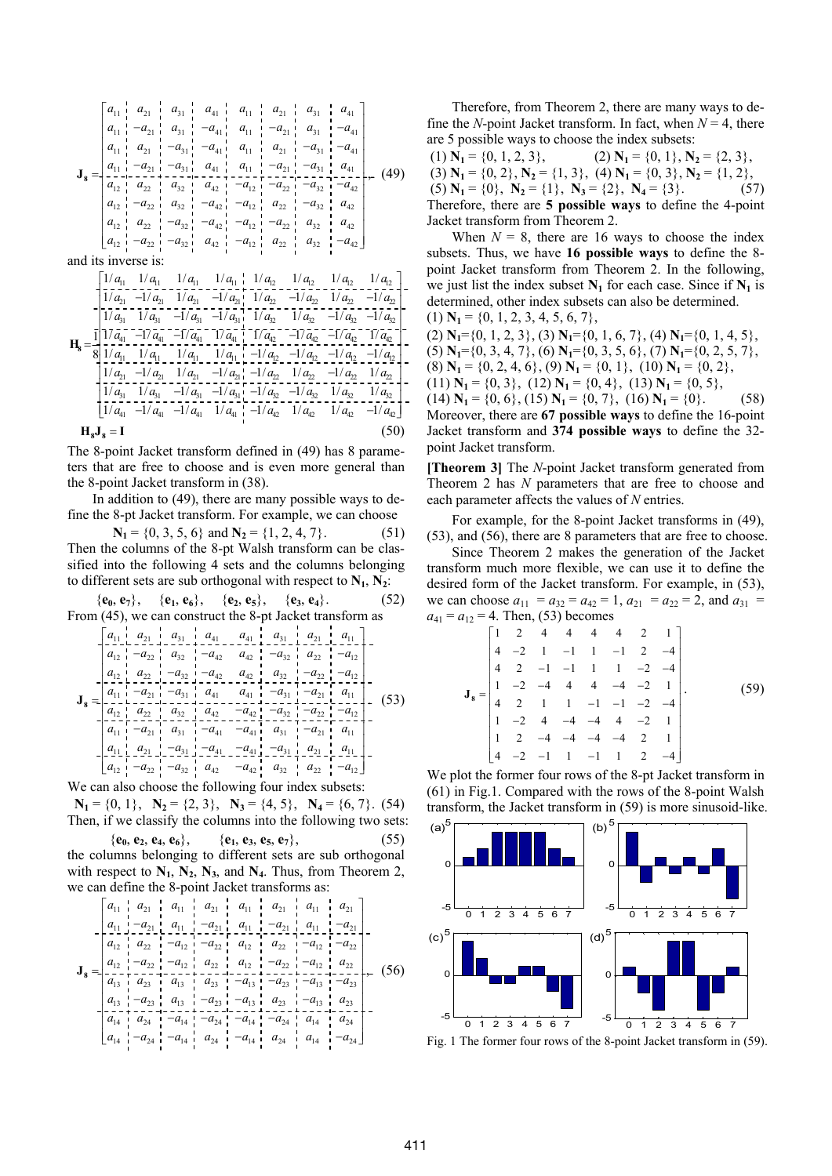$$
\mathbf{J}_{8} = \begin{bmatrix} a_{11} & a_{21} & a_{31} & a_{41} & a_{11} & a_{21} & a_{31} & a_{41} \\ a_{11} & -a_{21} & a_{31} & -a_{41} & a_{11} & -a_{21} & a_{31} & -a_{41} \\ a_{11} & a_{21} & -a_{31} & -a_{41} & a_{11} & a_{21} & -a_{31} & -a_{41} \\ a_{11} & -a_{21} & -a_{31} & a_{41} & a_{11} & -a_{21} & -a_{31} & -a_{41} \\ a_{11} & -a_{21} & -a_{31} & a_{41} & a_{11} & -a_{21} & -a_{31} & a_{41} \\ a_{12} & a_{22} & a_{32} & a_{42} & -a_{12} & -a_{22} & -a_{32} & -a_{42} \\ a_{12} & a_{22} & -a_{32} & -a_{42} & -a_{12} & a_{22} & -a_{32} & a_{42} \\ a_{12} & a_{22} & -a_{32} & -a_{42} & -a_{12} & -a_{22} & a_{32} & a_{42} \\ a_{12} & -a_{22} & -a_{32} & -a_{32} & a_{42} & -a_{12} & a_{22} & a_{32} & -a_{42} \end{bmatrix}
$$

and its inverse is:

$$
\mathbf{H}_{8} = \begin{bmatrix} 1/a_{11} & 1/a_{11} & 1/a_{11} & 1/a_{12} & 1/a_{12} & 1/a_{12} & 1/a_{12} \\ 1/a_{21} & -1/a_{21} & 1/a_{21} & -1/a_{21} & 1/a_{22} & -1/a_{22} & 1/a_{22} & -1/a_{22} \\ 1/a_{31} & 1/a_{31} & -1/a_{31} & -1/a_{31} & 1/a_{32} & 1/a_{32} & -1/a_{32} & -1/a_{32} \\ 1 & 1/a_{31} & -1/a_{31} & -1/a_{31} & 1/a_{32} & 1/a_{32} & -1/a_{32} & -1/a_{32} \\ 1 & 1/a_{11} & -1/a_{11} & -1/a_{11} & 1/a_{11} & -1/a_{12} & -1/a_{12} & -1/a_{12} & -1/a_{12} \\ 1/a_{11} & 1/a_{11} & 1/a_{11} & 1/a_{11} & -1/a_{12} & -1/a_{12} & -1/a_{12} & -1/a_{12} \\ 1/a_{21} & -1/a_{21} & 1/a_{21} & -1/a_{21} & -1/a_{22} & 1/a_{22} & -1/a_{22} & 1/a_{22} \\ 1/a_{31} & 1/a_{31} & -1/a_{31} & -1/a_{31} & -1/a_{32} & 1/a_{32} & -1/a_{32} & 1/a_{32} \\ 1/a_{31} & 1/a_{31} & -1/a_{31} & -1/a_{31} & -1/a_{32} & -1/a_{32} & 1/a_{32} & 1/a_{32} \\ 1/a_{41} & -1/a_{41} & 1/a_{41} & 1/a_{41} & -1/a_{42} & 1/a_{42} & 1/a_{42} & -1/a_{42} \end{bmatrix}.
$$
  
\n
$$
\mathbf{H}_{8}\mathbf{J}_{8} = \mathbf{I}
$$
 (50)

The 8-point Jacket transform defined in (49) has 8 parameters that are free to choose and is even more general than the 8-point Jacket transform in (38).

In addition to (49), there are many possible ways to define the 8-pt Jacket transform. For example, we can choose

 $N_1 = \{0, 3, 5, 6\}$  and  $N_2 = \{1, 2, 4, 7\}.$  (51) Then the columns of the 8-pt Walsh transform can be classified into the following 4 sets and the columns belonging to different sets are sub orthogonal with respect to  $N_1$ ,  $N_2$ :

 ${\bf e}_0, {\bf e}_7$ ,  ${\bf e}_1, {\bf e}_6$ ,  ${\bf e}_3, {\bf e}_5$ ,  ${\bf e}_3, {\bf e}_4$ . (52) From (45), we can construct the 8-pt Jacket transform as

$$
\mathbf{J}_{8} = \begin{bmatrix} a_{11} & a_{21} & a_{31} & a_{41} & a_{41} & a_{31} & a_{31} & a_{21} & a_{11} \\ a_{12} & -a_{22} & a_{32} & -a_{42} & a_{42} & -a_{32} & a_{22} & -a_{12} \\ a_{12} & a_{22} & -a_{32} & -a_{42} & a_{42} & -a_{32} & a_{42} & -a_{12} \\ a_{11} & -a_{21} & -a_{31} & a_{41} & -a_{31} & -a_{31} & a_{11} \\ a_{12} & a_{22} & -a_{32} & -a_{42} & -a_{42} & -a_{42} & -a_{42} & -a_{12} \\ a_{11} & -a_{21} & -a_{31} & a_{41} & -a_{31} & -a_{21} & a_{11} \\ a_{12} & a_{22} & a_{22} & -a_{22} & -a_{22} & -a_{22} & -a_{12} \\ a_{11} & -a_{21} & a_{31} & -a_{41} & -a_{41} & a_{31} & -a_{21} & a_{11} \\ a_{11} & -a_{21} & a_{31} & -a_{41} & -a_{41} & a_{31} & -a_{21} & a_{11} \\ a_{11} & a_{21} & -a_{31} & -a_{41} & -a_{41} & -a_{31} & -a_{31} & a_{31} \\ a_{12} & -a_{22} & -a_{32} & a_{42} & -a_{42} & a_{32} & a_{22} & -a_{12} \end{bmatrix}.
$$
\n(53)

We can also choose the following four index subsets:

 $N_1 = \{0, 1\}, N_2 = \{2, 3\}, N_3 = \{4, 5\}, N_4 = \{6, 7\}.$  (54) Then, if we classify the columns into the following two sets:  ${\bf e}_0, {\bf e}_2, {\bf e}_4, {\bf e}_6$ ,  ${\bf e}_1, {\bf e}_3, {\bf e}_5, {\bf e}_7$ , (55) the columns belonging to different sets are sub orthogonal with respect to  $N_1$ ,  $N_2$ ,  $N_3$ , and  $N_4$ . Thus, from Theorem 2, we can define the 8-point Jacket transforms as:

$$
\mathbf{J}_{8} = \begin{bmatrix} a_{11} & a_{21} & a_{11} & a_{21} & a_{11} & a_{21} & a_{11} & a_{21} \\ a_{11} & -a_{21} & a_{11} & -a_{21} & a_{11} & -a_{21} & a_{11} & -a_{21} \\ a_{12} & a_{22} & -a_{12} & -a_{22} & a_{12} & a_{22} & -a_{12} & -a_{22} \\ a_{12} & -a_{22} & -a_{12} & a_{22} & a_{12} & -a_{22} & -a_{12} & a_{22} \\ a_{13} & a_{23} & a_{13} & a_{23} & -a_{13} & -a_{23} & -a_{13} & -a_{23} \\ a_{14} & -a_{23} & a_{13} & -a_{23} & -a_{13} & a_{23} & -a_{13} & a_{23} \\ a_{14} & a_{24} & -a_{14} & -a_{24} & -a_{14} & -a_{24} & a_{14} & -a_{24} \\ a_{14} & -a_{24} & -a_{14} & a_{24} & -a_{14} & a_{24} & a_{14} & -a_{24} \end{bmatrix} \tag{56}
$$

Therefore, from Theorem 2, there are many ways to define the *N*-point Jacket transform. In fact, when  $N = 4$ , there are 5 possible ways to choose the index subsets:

(1)  $N_1 = \{0, 1, 2, 3\},\qquad(2) N_1 = \{0, 1\}, N_2 = \{2, 3\},\qquad$ (3) **N**<sub>1</sub> = {0, 2}, **N**<sub>2</sub> = {1, 3}, (4) **N**<sub>1</sub> = {0, 3}, **N**<sub>2</sub> = {1, 2},<br>(5) **N**<sub>1</sub> = {0}, **N**<sub>2</sub> = {1}, **N**<sub>3</sub> = {2}, **N**<sub>4</sub> = {3}. (57) (5)  $N_1 = \{0\}$ ,  $N_2 = \{1\}$ ,  $N_3 = \{2\}$ ,  $N_4 = \{3\}$ . Therefore, there are **5 possible ways** to define the 4-point Jacket transform from Theorem 2.

When  $N = 8$ , there are 16 ways to choose the index subsets. Thus, we have **16 possible ways** to define the 8 point Jacket transform from Theorem 2. In the following, we just list the index subset  $N_1$  for each case. Since if  $N_1$  is determined, other index subsets can also be determined.

 $(1)$  **N**<sub>1</sub> = {0, 1, 2, 3, 4, 5, 6, 7},

 $(2)$  **N**<sub>1</sub>={0, 1, 2, 3}, (3) **N**<sub>1</sub>={0, 1, 6, 7}, (4) **N**<sub>1</sub>={0, 1, 4, 5}, (5)  $N_1 = \{0, 3, 4, 7\}$ , (6)  $N_1 = \{0, 3, 5, 6\}$ , (7)  $N_1 = \{0, 2, 5, 7\}$ , (8)  $N_1 = \{0, 2, 4, 6\}, (9)$   $N_1 = \{0, 1\}, (10)$   $N_1 = \{0, 2\},$ (11)  $N_1 = \{0, 3\}$ , (12)  $N_1 = \{0, 4\}$ , (13)  $N_1 = \{0, 5\}$ , (14)  $N_1 = \{0, 6\}$ , (15)  $N_1 = \{0, 7\}$ , (16)  $N_1 = \{0\}$ . (58) Moreover, there are **67 possible ways** to define the 16-point Jacket transform and **374 possible ways** to define the 32 point Jacket transform.

**[Theorem 3]** The *N*-point Jacket transform generated from Theorem 2 has *N* parameters that are free to choose and each parameter affects the values of *N* entries.

For example, for the 8-point Jacket transforms in (49), (53), and (56), there are 8 parameters that are free to choose.

Since Theorem 2 makes the generation of the Jacket transform much more flexible, we can use it to define the desired form of the Jacket transform. For example, in (53), we can choose  $a_{11} = a_{32} = a_{42} = 1$ ,  $a_{21} = a_{22} = 2$ , and  $a_{31} =$  $a_{41} = a_{12} = 4$ . Then, (53) becomes

$$
\mathbf{J}_8 = \begin{bmatrix} 1 & 2 & 4 & 4 & 4 & 4 & 2 & 1 \\ 4 & -2 & 1 & -1 & 1 & -1 & 2 & -4 \\ 4 & 2 & -1 & -1 & 1 & 1 & -2 & -4 \\ 1 & -2 & -4 & 4 & 4 & -4 & -2 & 1 \\ 4 & 2 & 1 & 1 & -1 & -1 & -2 & -4 \\ 1 & -2 & 4 & -4 & -4 & 4 & -2 & 1 \\ 1 & 2 & -4 & -4 & -4 & -4 & 2 & 1 \\ 4 & -2 & -1 & 1 & -1 & 1 & 2 & -4 \end{bmatrix} . \tag{59}
$$

We plot the former four rows of the 8-pt Jacket transform in (61) in Fig.1. Compared with the rows of the 8-point Walsh transform, the Jacket transform in (59) is more sinusoid-like.



Fig. 1 The former four rows of the 8-point Jacket transform in (59).